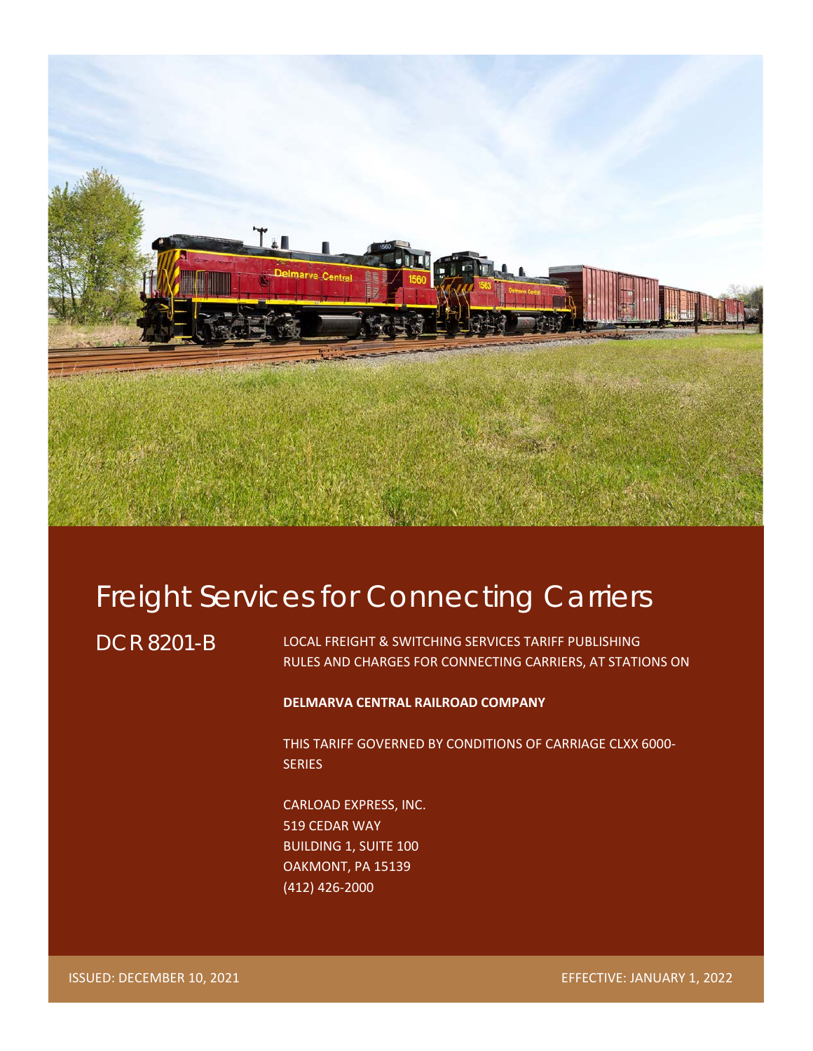

# Freight Services for Connecting Carriers

DCR 8201-B

LOCAL FREIGHT & SWITCHING SERVICES TARIFF PUBLISHING RULES AND CHARGES FOR CONNECTING CARRIERS, AT STATIONS ON

# **DELMARVA CENTRAL RAILROAD COMPANY**

THIS TARIFF GOVERNED BY CONDITIONS OF CARRIAGE CLXX 6000- **SERIES** 

CARLOAD EXPRESS, INC. 519 CEDAR WAY BUILDING 1, SUITE 100 OAKMONT, PA 15139 (412) 426-2000

ISSUED: DECEMBER 10, 2021 EFFECTIVE: JANUARY 1, 2022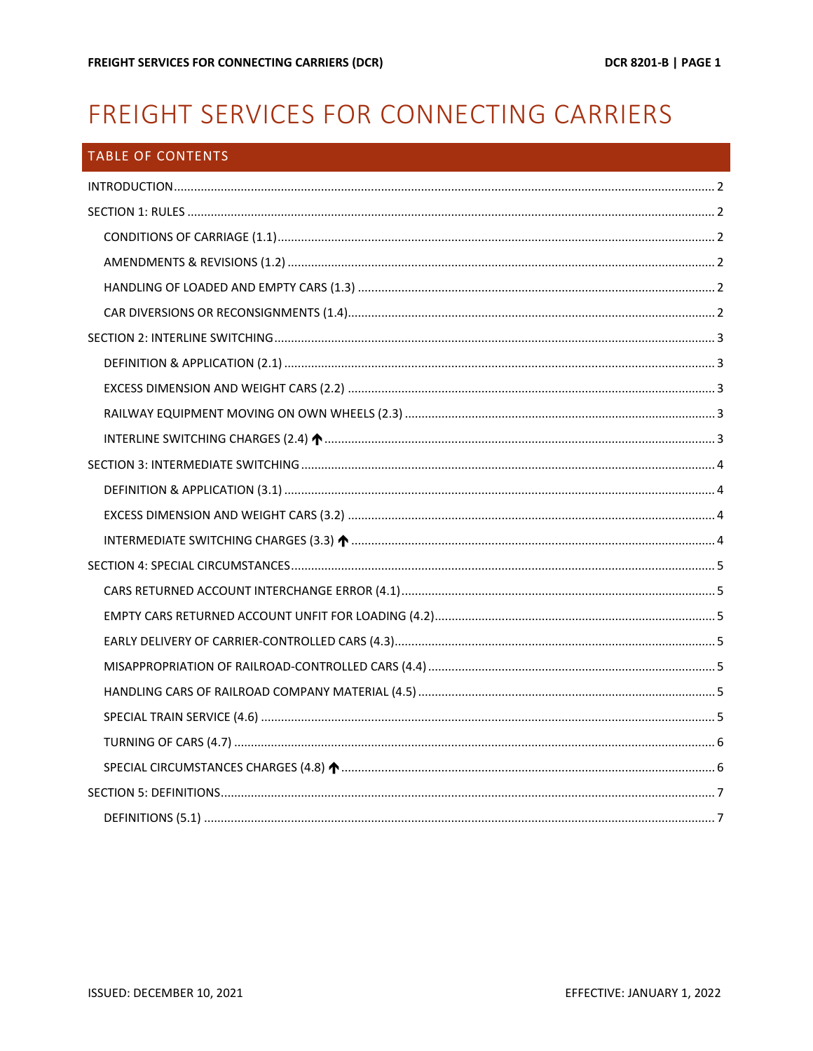# FREIGHT SERVICES FOR CONNECTING CARRIERS

| TABLE OF CONTENTS |  |
|-------------------|--|
|                   |  |
|                   |  |
|                   |  |
|                   |  |
|                   |  |
|                   |  |
|                   |  |
|                   |  |
|                   |  |
|                   |  |
|                   |  |
|                   |  |
|                   |  |
|                   |  |
|                   |  |
|                   |  |
|                   |  |
|                   |  |
|                   |  |
|                   |  |
|                   |  |
|                   |  |
|                   |  |
|                   |  |
|                   |  |
|                   |  |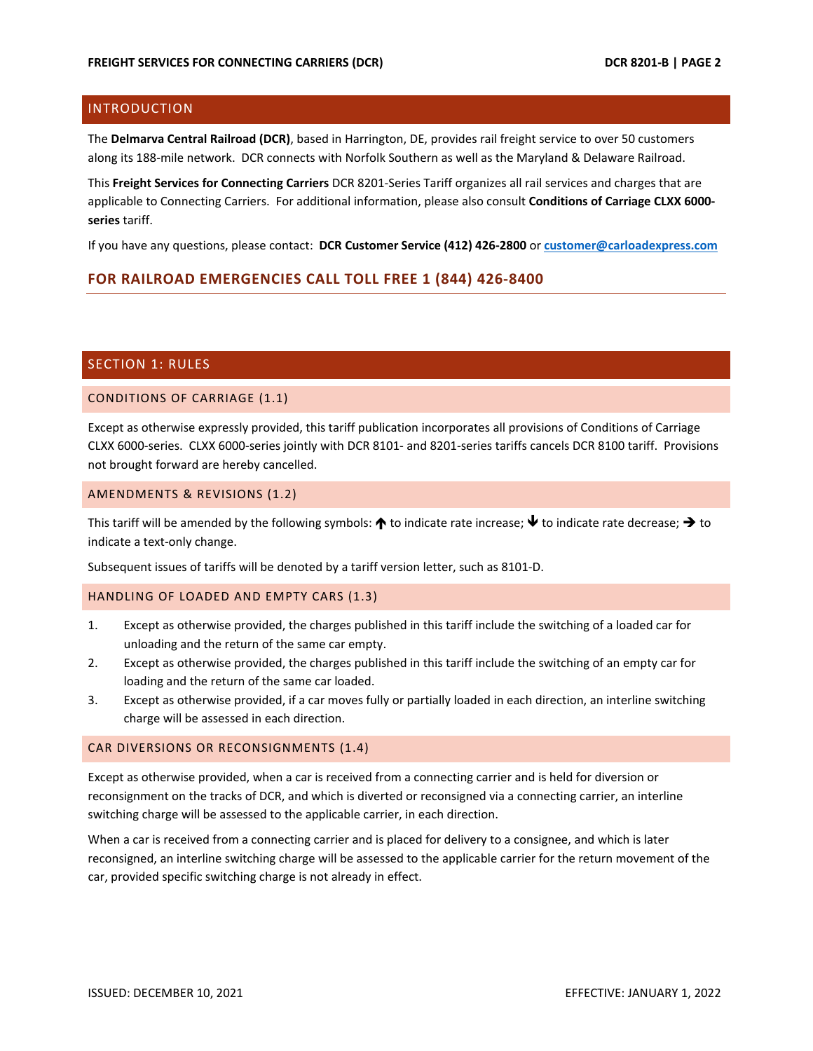# <span id="page-2-0"></span>INTRODUCTION

The **Delmarva Central Railroad (DCR)**, based in Harrington, DE, provides rail freight service to over 50 customers along its 188-mile network. DCR connects with Norfolk Southern as well as the Maryland & Delaware Railroad.

This **Freight Services for Connecting Carriers** DCR 8201-Series Tariff organizes all rail services and charges that are applicable to Connecting Carriers. For additional information, please also consult **Conditions of Carriage CLXX 6000 series** tariff.

If you have any questions, please contact: **DCR Customer Service (412) 426-2800** or **[customer@carloadexpress.com](mailto:customer@carloadexpress.com)**

# **FOR RAILROAD EMERGENCIES CALL TOLL FREE 1 (844) 426-8400**

# <span id="page-2-1"></span>SECTION 1: RULES

# <span id="page-2-2"></span>CONDITIONS OF CARRIAGE (1.1)

Except as otherwise expressly provided, this tariff publication incorporates all provisions of Conditions of Carriage CLXX 6000-series. CLXX 6000-series jointly with DCR 8101- and 8201-series tariffs cancels DCR 8100 tariff. Provisions not brought forward are hereby cancelled.

# <span id="page-2-3"></span>AMENDMENTS & REVISIONS (1.2)

This tariff will be amended by the following symbols:  $\bigwedge$  to indicate rate increase;  $\bigvee$  to indicate rate decrease;  $\bigtriangleup$  to indicate a text-only change.

Subsequent issues of tariffs will be denoted by a tariff version letter, such as 8101-D.

# <span id="page-2-4"></span>HANDLING OF LOADED AND EMPTY CARS (1.3)

- 1. Except as otherwise provided, the charges published in this tariff include the switching of a loaded car for unloading and the return of the same car empty.
- 2. Except as otherwise provided, the charges published in this tariff include the switching of an empty car for loading and the return of the same car loaded.
- 3. Except as otherwise provided, if a car moves fully or partially loaded in each direction, an interline switching charge will be assessed in each direction.

# <span id="page-2-5"></span>CAR DIVERSIONS OR RECONSIGNMENTS (1.4)

Except as otherwise provided, when a car is received from a connecting carrier and is held for diversion or reconsignment on the tracks of DCR, and which is diverted or reconsigned via a connecting carrier, an interline switching charge will be assessed to the applicable carrier, in each direction.

When a car is received from a connecting carrier and is placed for delivery to a consignee, and which is later reconsigned, an interline switching charge will be assessed to the applicable carrier for the return movement of the car, provided specific switching charge is not already in effect.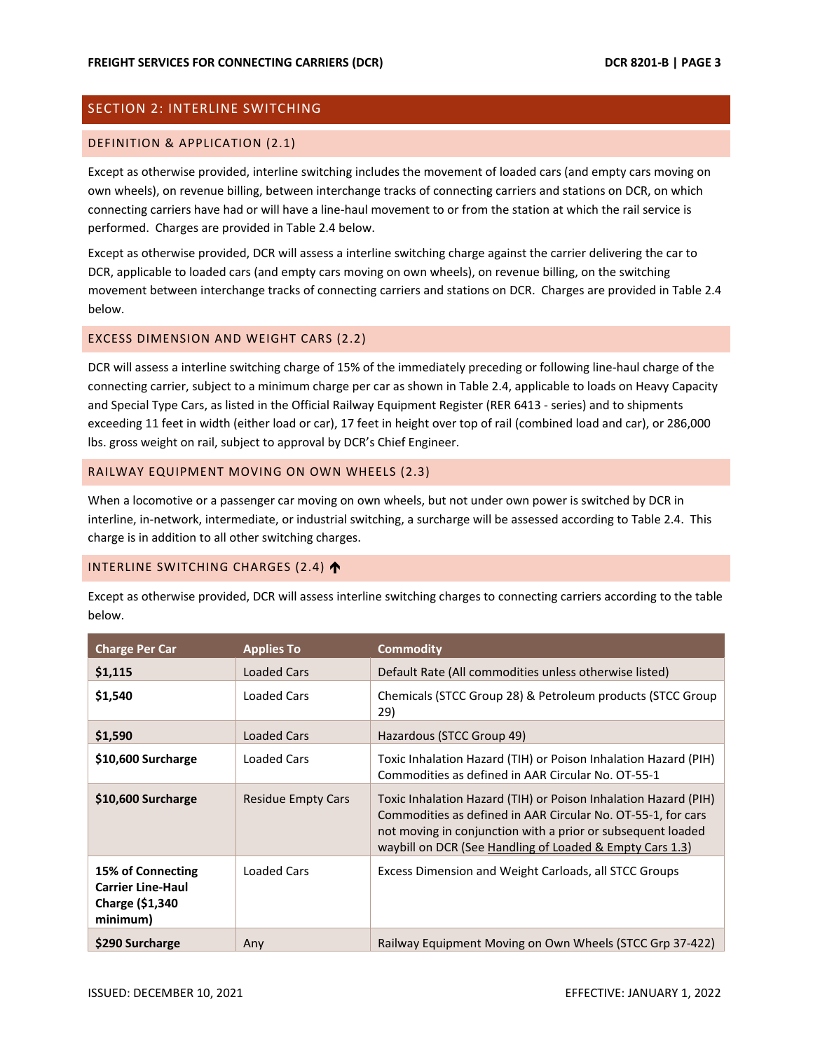# <span id="page-3-0"></span>SECTION 2: INTERLINE SWITCHING

## <span id="page-3-1"></span>DEFINITION & APPLICATION (2.1)

Except as otherwise provided, interline switching includes the movement of loaded cars (and empty cars moving on own wheels), on revenue billing, between interchange tracks of connecting carriers and stations on DCR, on which connecting carriers have had or will have a line-haul movement to or from the station at which the rail service is performed. Charges are provided in Table 2.4 below.

Except as otherwise provided, DCR will assess a interline switching charge against the carrier delivering the car to DCR, applicable to loaded cars (and empty cars moving on own wheels), on revenue billing, on the switching movement between interchange tracks of connecting carriers and stations on DCR. Charges are provided in Table 2.4 below.

## <span id="page-3-2"></span>EXCESS DIMENSION AND WEIGHT CARS (2.2)

DCR will assess a interline switching charge of 15% of the immediately preceding or following line-haul charge of the connecting carrier, subject to a minimum charge per car as shown in Table 2.4, applicable to loads on Heavy Capacity and Special Type Cars, as listed in the Official Railway Equipment Register (RER 6413 - series) and to shipments exceeding 11 feet in width (either load or car), 17 feet in height over top of rail (combined load and car), or 286,000 lbs. gross weight on rail, subject to approval by DCR's Chief Engineer.

## <span id="page-3-3"></span>RAILWAY EQUIPMENT MOVING ON OWN WHEELS (2.3)

When a locomotive or a passenger car moving on own wheels, but not under own power is switched by DCR in interline, in-network, intermediate, or industrial switching, a surcharge will be assessed according to Table 2.4. This charge is in addition to all other switching charges.

# <span id="page-3-4"></span>INTERLINE SWITCHING CHARGES (2.4)

Except as otherwise provided, DCR will assess interline switching charges to connecting carriers according to the table below.

| <b>Charge Per Car</b>                                                        | <b>Applies To</b>         | <b>Commodity</b>                                                                                                                                                                                                                                           |
|------------------------------------------------------------------------------|---------------------------|------------------------------------------------------------------------------------------------------------------------------------------------------------------------------------------------------------------------------------------------------------|
| \$1,115                                                                      | Loaded Cars               | Default Rate (All commodities unless otherwise listed)                                                                                                                                                                                                     |
| \$1,540                                                                      | Loaded Cars               | Chemicals (STCC Group 28) & Petroleum products (STCC Group<br>29)                                                                                                                                                                                          |
| \$1,590                                                                      | Loaded Cars               | Hazardous (STCC Group 49)                                                                                                                                                                                                                                  |
| \$10,600 Surcharge                                                           | Loaded Cars               | Toxic Inhalation Hazard (TIH) or Poison Inhalation Hazard (PIH)<br>Commodities as defined in AAR Circular No. OT-55-1                                                                                                                                      |
| \$10,600 Surcharge                                                           | <b>Residue Empty Cars</b> | Toxic Inhalation Hazard (TIH) or Poison Inhalation Hazard (PIH)<br>Commodities as defined in AAR Circular No. OT-55-1, for cars<br>not moving in conjunction with a prior or subsequent loaded<br>waybill on DCR (See Handling of Loaded & Empty Cars 1.3) |
| 15% of Connecting<br><b>Carrier Line-Haul</b><br>Charge (\$1,340<br>minimum) | Loaded Cars               | Excess Dimension and Weight Carloads, all STCC Groups                                                                                                                                                                                                      |
| \$290 Surcharge                                                              | Any                       | Railway Equipment Moving on Own Wheels (STCC Grp 37-422)                                                                                                                                                                                                   |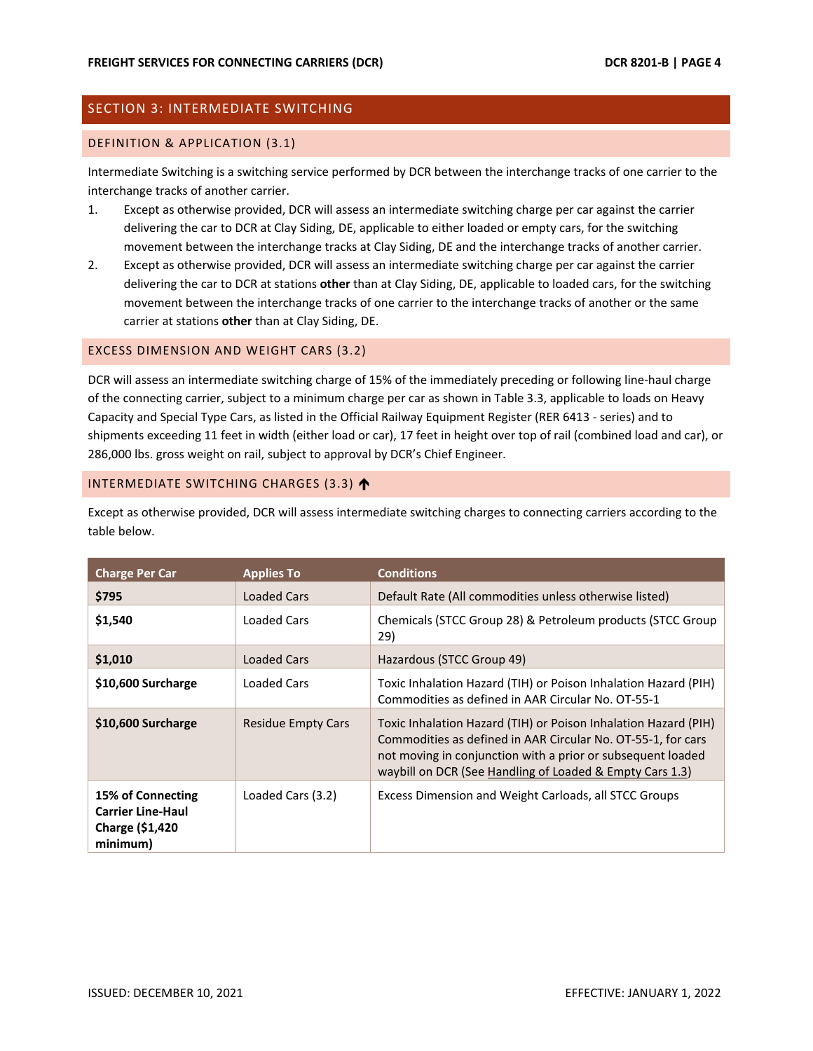# <span id="page-4-0"></span>SECTION 3: INTERMEDIATE SWITCHING

## <span id="page-4-1"></span>DEFINITION & APPLICATION (3.1)

Intermediate Switching is a switching service performed by DCR between the interchange tracks of one carrier to the interchange tracks of another carrier.

- 1. Except as otherwise provided, DCR will assess an intermediate switching charge per car against the carrier delivering the car to DCR at Clay Siding, DE, applicable to either loaded or empty cars, for the switching movement between the interchange tracks at Clay Siding, DE and the interchange tracks of another carrier.
- 2. Except as otherwise provided, DCR will assess an intermediate switching charge per car against the carrier delivering the car to DCR at stations **other** than at Clay Siding, DE, applicable to loaded cars, for the switching movement between the interchange tracks of one carrier to the interchange tracks of another or the same carrier at stations **other** than at Clay Siding, DE.

# <span id="page-4-2"></span>EXCESS DIMENSION AND WEIGHT CARS (3.2)

DCR will assess an intermediate switching charge of 15% of the immediately preceding or following line-haul charge of the connecting carrier, subject to a minimum charge per car as shown in Table 3.3, applicable to loads on Heavy Capacity and Special Type Cars, as listed in the Official Railway Equipment Register (RER 6413 - series) and to shipments exceeding 11 feet in width (either load or car), 17 feet in height over top of rail (combined load and car), or 286,000 lbs. gross weight on rail, subject to approval by DCR's Chief Engineer.

## <span id="page-4-3"></span>INTERMEDIATE SWITCHING CHARGES (3.3)

Except as otherwise provided, DCR will assess intermediate switching charges to connecting carriers according to the table below.

| <b>Charge Per Car</b>                                                               | <b>Applies To</b>         | <b>Conditions</b>                                                                                                                                                                                                                                          |
|-------------------------------------------------------------------------------------|---------------------------|------------------------------------------------------------------------------------------------------------------------------------------------------------------------------------------------------------------------------------------------------------|
| \$795                                                                               | Loaded Cars               | Default Rate (All commodities unless otherwise listed)                                                                                                                                                                                                     |
| \$1,540                                                                             | Loaded Cars               | Chemicals (STCC Group 28) & Petroleum products (STCC Group<br>29)                                                                                                                                                                                          |
| \$1,010                                                                             | Loaded Cars               | Hazardous (STCC Group 49)                                                                                                                                                                                                                                  |
| \$10,600 Surcharge                                                                  | Loaded Cars               | Toxic Inhalation Hazard (TIH) or Poison Inhalation Hazard (PIH)<br>Commodities as defined in AAR Circular No. OT-55-1                                                                                                                                      |
| \$10,600 Surcharge                                                                  | <b>Residue Empty Cars</b> | Toxic Inhalation Hazard (TIH) or Poison Inhalation Hazard (PIH)<br>Commodities as defined in AAR Circular No. OT-55-1, for cars<br>not moving in conjunction with a prior or subsequent loaded<br>waybill on DCR (See Handling of Loaded & Empty Cars 1.3) |
| 15% of Connecting<br><b>Carrier Line-Haul</b><br><b>Charge (\$1,420</b><br>minimum) | Loaded Cars (3.2)         | Excess Dimension and Weight Carloads, all STCC Groups                                                                                                                                                                                                      |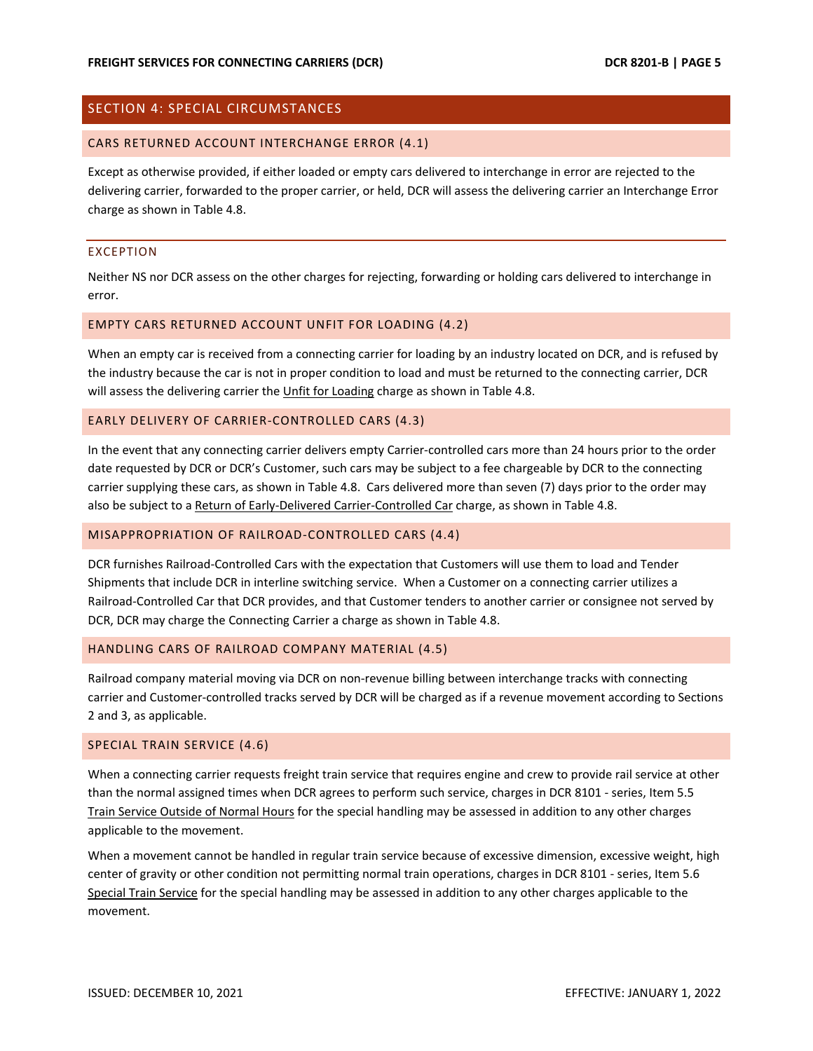# <span id="page-5-0"></span>SECTION 4: SPECIAL CIRCUMSTANCES

#### <span id="page-5-1"></span>CARS RETURNED ACCOUNT INTERCHANGE ERROR (4.1)

Except as otherwise provided, if either loaded or empty cars delivered to interchange in error are rejected to the delivering carrier, forwarded to the proper carrier, or held, DCR will assess the delivering carrier an Interchange Error charge as shown in Table 4.8.

## EXCEPTION

Neither NS nor DCR assess on the other charges for rejecting, forwarding or holding cars delivered to interchange in error.

# <span id="page-5-2"></span>EMPTY CARS RETURNED ACCOUNT UNFIT FOR LOADING (4.2)

When an empty car is received from a connecting carrier for loading by an industry located on DCR, and is refused by the industry because the car is not in proper condition to load and must be returned to the connecting carrier, DCR will assess the delivering carrier the Unfit for Loading charge as shown in Table 4.8.

# <span id="page-5-3"></span>EARLY DELIVERY OF CARRIER-CONTROLLED CARS (4.3)

In the event that any connecting carrier delivers empty Carrier-controlled cars more than 24 hours prior to the order date requested by DCR or DCR's Customer, such cars may be subject to a fee chargeable by DCR to the connecting carrier supplying these cars, as shown in Table 4.8. Cars delivered more than seven (7) days prior to the order may also be subject to a Return of Early-Delivered Carrier-Controlled Car charge, as shown in Table 4.8.

#### <span id="page-5-4"></span>MISAPPROPRIATION OF RAILROAD-CONTROLLED CARS (4.4)

DCR furnishes Railroad-Controlled Cars with the expectation that Customers will use them to load and Tender Shipments that include DCR in interline switching service. When a Customer on a connecting carrier utilizes a Railroad-Controlled Car that DCR provides, and that Customer tenders to another carrier or consignee not served by DCR, DCR may charge the Connecting Carrier a charge as shown in Table 4.8.

# <span id="page-5-5"></span>HANDLING CARS OF RAILROAD COMPANY MATERIAL (4.5)

Railroad company material moving via DCR on non-revenue billing between interchange tracks with connecting carrier and Customer-controlled tracks served by DCR will be charged as if a revenue movement according to Sections 2 and 3, as applicable.

# <span id="page-5-6"></span>SPECIAL TRAIN SERVICE (4.6)

When a connecting carrier requests freight train service that requires engine and crew to provide rail service at other than the normal assigned times when DCR agrees to perform such service, charges in DCR 8101 - series, Item 5.5 Train Service Outside of Normal Hours for the special handling may be assessed in addition to any other charges applicable to the movement.

When a movement cannot be handled in regular train service because of excessive dimension, excessive weight, high center of gravity or other condition not permitting normal train operations, charges in DCR 8101 - series, Item 5.6 Special Train Service for the special handling may be assessed in addition to any other charges applicable to the movement.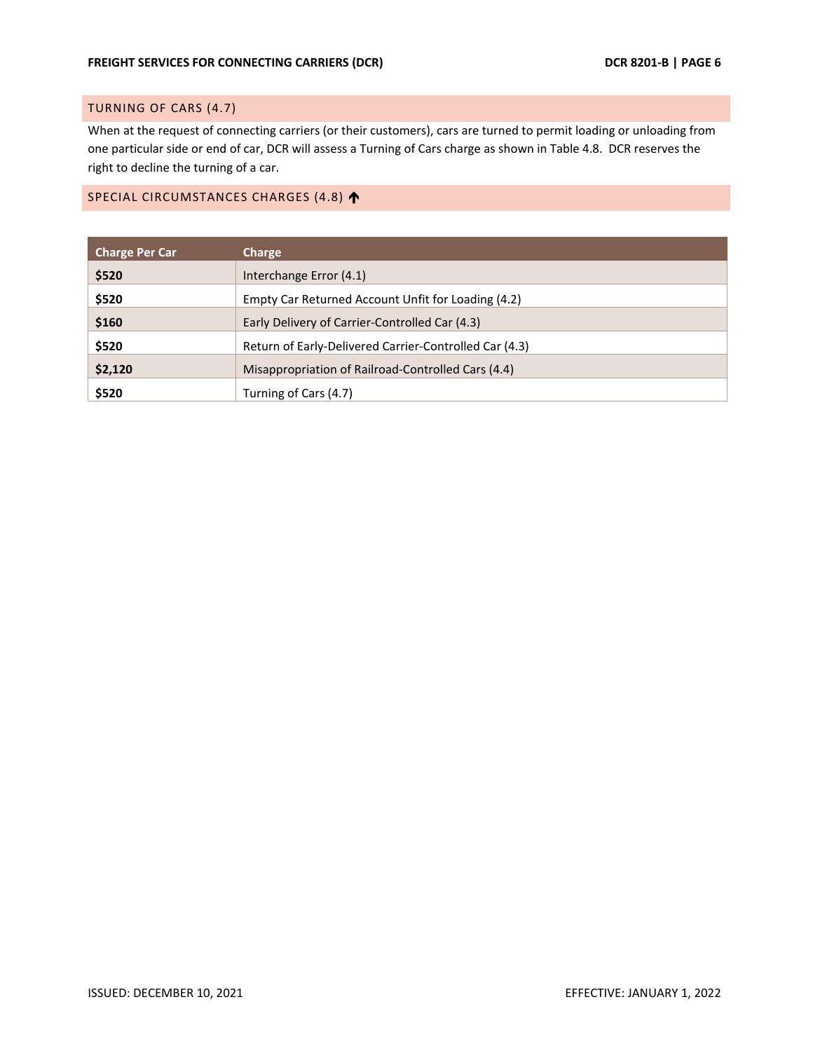# <span id="page-6-0"></span>TURNING OF CARS (4.7)

When at the request of connecting carriers (or their customers), cars are turned to permit loading or unloading from one particular side or end of car, DCR will assess a Turning of Cars charge as shown in Table 4.8. DCR reserves the right to decline the turning of a car.

# <span id="page-6-1"></span>SPECIAL CIRCUMSTANCES CHARGES (4.8)

| <b>Charge Per Car</b> | Charge                                                 |  |  |
|-----------------------|--------------------------------------------------------|--|--|
| \$520                 | Interchange Error (4.1)                                |  |  |
| \$520                 | Empty Car Returned Account Unfit for Loading (4.2)     |  |  |
| \$160                 | Early Delivery of Carrier-Controlled Car (4.3)         |  |  |
| \$520                 | Return of Early-Delivered Carrier-Controlled Car (4.3) |  |  |
| \$2,120               | Misappropriation of Railroad-Controlled Cars (4.4)     |  |  |
| \$520                 | Turning of Cars (4.7)                                  |  |  |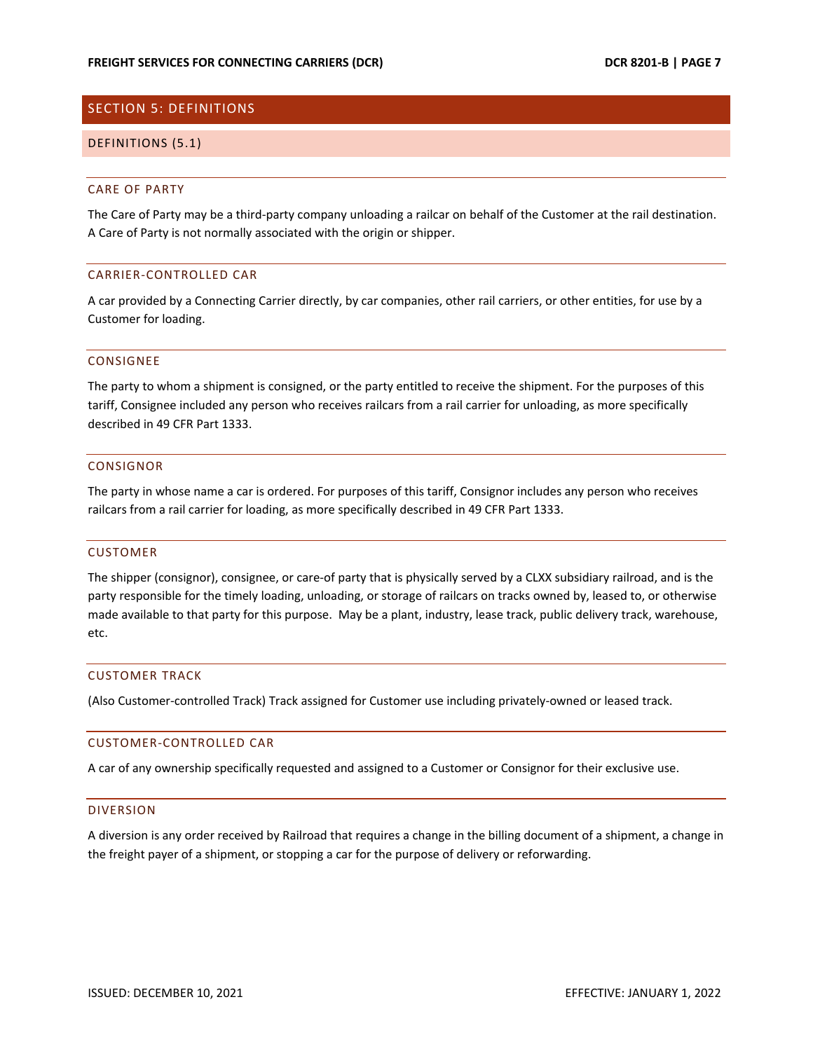# <span id="page-7-0"></span>SECTION 5: DEFINITIONS

## <span id="page-7-1"></span>DEFINITIONS (5.1)

# CARE OF PARTY

The Care of Party may be a third-party company unloading a railcar on behalf of the Customer at the rail destination. A Care of Party is not normally associated with the origin or shipper.

## CARRIER-CONTROLLED CAR

A car provided by a Connecting Carrier directly, by car companies, other rail carriers, or other entities, for use by a Customer for loading.

## CONSIGNEE

The party to whom a shipment is consigned, or the party entitled to receive the shipment. For the purposes of this tariff, Consignee included any person who receives railcars from a rail carrier for unloading, as more specifically described in 49 CFR Part 1333.

# CONSIGNOR

The party in whose name a car is ordered. For purposes of this tariff, Consignor includes any person who receives railcars from a rail carrier for loading, as more specifically described in 49 CFR Part 1333.

# CUSTOMER

The shipper (consignor), consignee, or care-of party that is physically served by a CLXX subsidiary railroad, and is the party responsible for the timely loading, unloading, or storage of railcars on tracks owned by, leased to, or otherwise made available to that party for this purpose. May be a plant, industry, lease track, public delivery track, warehouse, etc.

# CUSTOMER TRACK

(Also Customer-controlled Track) Track assigned for Customer use including privately-owned or leased track.

# CUSTOMER-CONTROLLED CAR

A car of any ownership specifically requested and assigned to a Customer or Consignor for their exclusive use.

# DIVERSION

A diversion is any order received by Railroad that requires a change in the billing document of a shipment, a change in the freight payer of a shipment, or stopping a car for the purpose of delivery or reforwarding.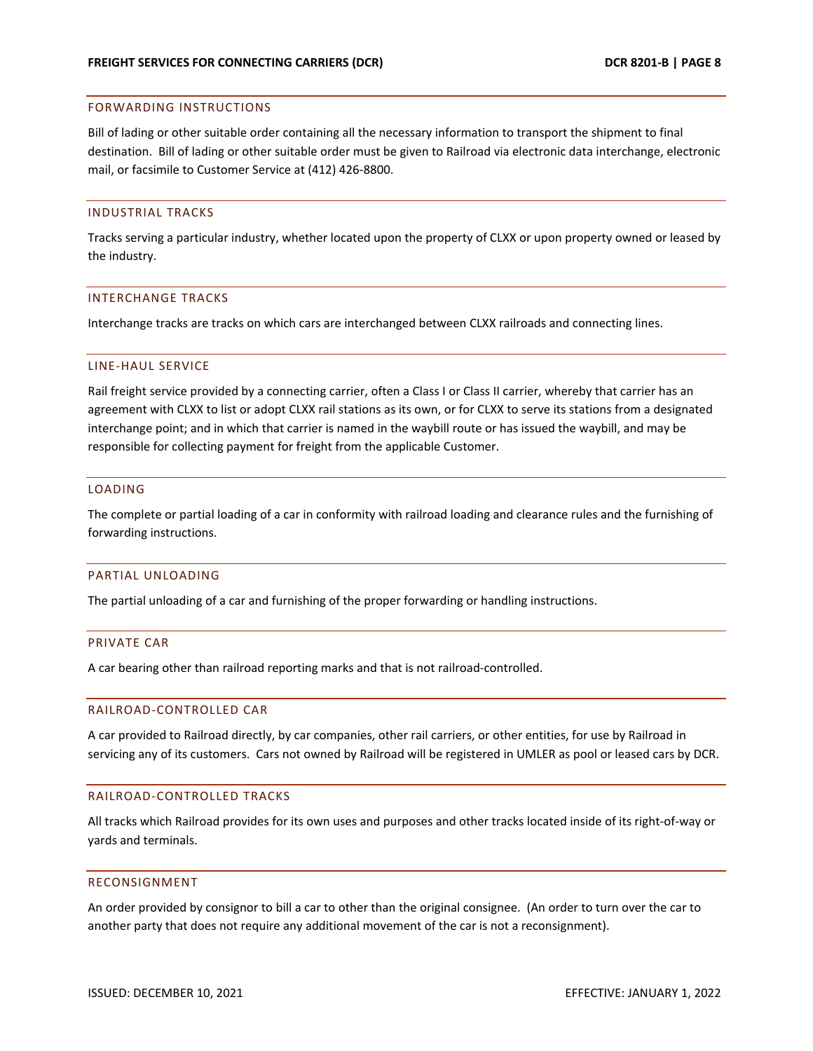### FORWARDING INSTRUCTIONS

Bill of lading or other suitable order containing all the necessary information to transport the shipment to final destination. Bill of lading or other suitable order must be given to Railroad via electronic data interchange, electronic mail, or facsimile to Customer Service at (412) 426-8800.

## INDUSTRIAL TRACKS

Tracks serving a particular industry, whether located upon the property of CLXX or upon property owned or leased by the industry.

## INTERCHANGE TRACKS

Interchange tracks are tracks on which cars are interchanged between CLXX railroads and connecting lines.

# LINE-HAUL SERVICE

Rail freight service provided by a connecting carrier, often a Class I or Class II carrier, whereby that carrier has an agreement with CLXX to list or adopt CLXX rail stations as its own, or for CLXX to serve its stations from a designated interchange point; and in which that carrier is named in the waybill route or has issued the waybill, and may be responsible for collecting payment for freight from the applicable Customer.

# LOADING

The complete or partial loading of a car in conformity with railroad loading and clearance rules and the furnishing of forwarding instructions.

#### PARTIAL UNLOADING

The partial unloading of a car and furnishing of the proper forwarding or handling instructions.

# PRIVATE CAR

A car bearing other than railroad reporting marks and that is not railroad-controlled.

### RAILROAD-CONTROLLED CAR

A car provided to Railroad directly, by car companies, other rail carriers, or other entities, for use by Railroad in servicing any of its customers. Cars not owned by Railroad will be registered in UMLER as pool or leased cars by DCR.

## RAILROAD-CONTROLLED TRACKS

All tracks which Railroad provides for its own uses and purposes and other tracks located inside of its right-of-way or yards and terminals.

#### RECONSIGNMENT

An order provided by consignor to bill a car to other than the original consignee. (An order to turn over the car to another party that does not require any additional movement of the car is not a reconsignment).